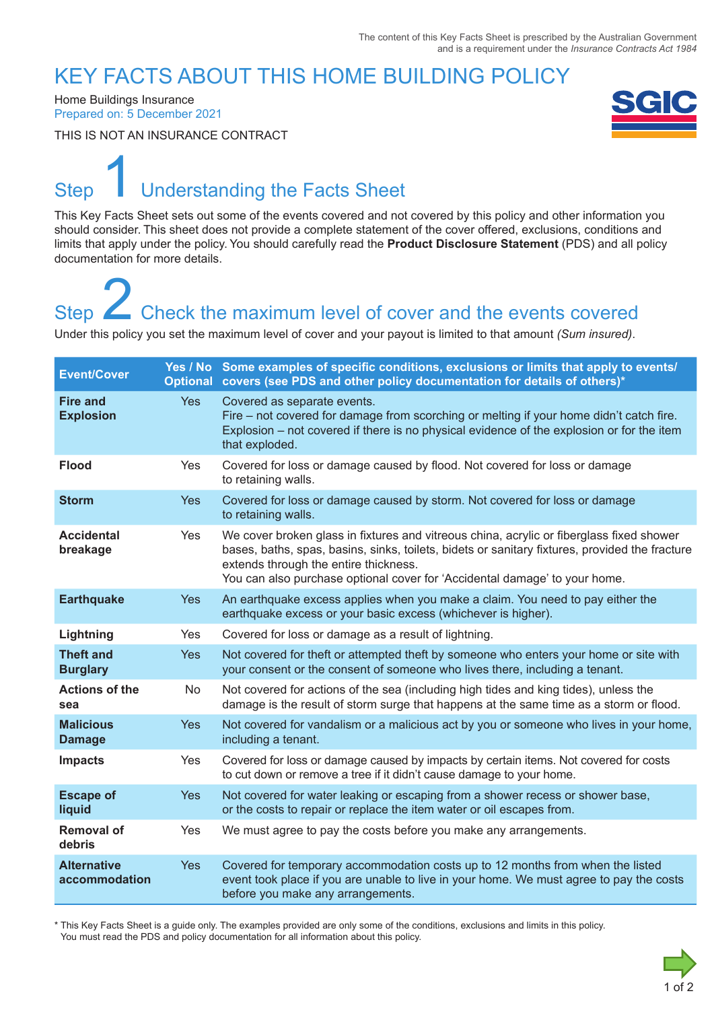### KEY FACTS ABOUT THIS HOME BUILDING POLICY

Home Buildings Insurance Prepared on: 5 December 2021

THIS IS NOT AN INSURANCE CONTRACT



# Step Understanding the Facts Sheet 1

This Key Facts Sheet sets out some of the events covered and not covered by this policy and other information you should consider. This sheet does not provide a complete statement of the cover offered, exclusions, conditions and limits that apply under the policy. You should carefully read the **Product Disclosure Statement** (PDS) and all policy documentation for more details.

# Step **Check the maximum level of cover and the events covered** Step<br>
2 Check the maximum level of cover and the events covered<br>
Under this policy you set the maximum level of cover and your payout is limited to that amount *(Sum insured)*.

| <b>Event/Cover</b>                  |            | Yes / No Some examples of specific conditions, exclusions or limits that apply to events/<br>Optional covers (see PDS and other policy documentation for details of others)*                                                                                                                                      |
|-------------------------------------|------------|-------------------------------------------------------------------------------------------------------------------------------------------------------------------------------------------------------------------------------------------------------------------------------------------------------------------|
| <b>Fire and</b><br><b>Explosion</b> | <b>Yes</b> | Covered as separate events.<br>Fire – not covered for damage from scorching or melting if your home didn't catch fire.<br>Explosion – not covered if there is no physical evidence of the explosion or for the item<br>that exploded.                                                                             |
| <b>Flood</b>                        | Yes        | Covered for loss or damage caused by flood. Not covered for loss or damage<br>to retaining walls.                                                                                                                                                                                                                 |
| <b>Storm</b>                        | <b>Yes</b> | Covered for loss or damage caused by storm. Not covered for loss or damage<br>to retaining walls.                                                                                                                                                                                                                 |
| <b>Accidental</b><br>breakage       | Yes        | We cover broken glass in fixtures and vitreous china, acrylic or fiberglass fixed shower<br>bases, baths, spas, basins, sinks, toilets, bidets or sanitary fixtures, provided the fracture<br>extends through the entire thickness.<br>You can also purchase optional cover for 'Accidental damage' to your home. |
| <b>Earthquake</b>                   | <b>Yes</b> | An earthquake excess applies when you make a claim. You need to pay either the<br>earthquake excess or your basic excess (whichever is higher).                                                                                                                                                                   |
| Lightning                           | Yes        | Covered for loss or damage as a result of lightning.                                                                                                                                                                                                                                                              |
| <b>Theft and</b><br><b>Burglary</b> | <b>Yes</b> | Not covered for theft or attempted theft by someone who enters your home or site with<br>your consent or the consent of someone who lives there, including a tenant.                                                                                                                                              |
| <b>Actions of the</b><br>sea        | No         | Not covered for actions of the sea (including high tides and king tides), unless the<br>damage is the result of storm surge that happens at the same time as a storm or flood.                                                                                                                                    |
| <b>Malicious</b><br><b>Damage</b>   | <b>Yes</b> | Not covered for vandalism or a malicious act by you or someone who lives in your home,<br>including a tenant.                                                                                                                                                                                                     |
| <b>Impacts</b>                      | Yes        | Covered for loss or damage caused by impacts by certain items. Not covered for costs<br>to cut down or remove a tree if it didn't cause damage to your home.                                                                                                                                                      |
| <b>Escape of</b><br>liquid          | <b>Yes</b> | Not covered for water leaking or escaping from a shower recess or shower base,<br>or the costs to repair or replace the item water or oil escapes from.                                                                                                                                                           |
| <b>Removal of</b><br>debris         | Yes        | We must agree to pay the costs before you make any arrangements.                                                                                                                                                                                                                                                  |
| <b>Alternative</b><br>accommodation | <b>Yes</b> | Covered for temporary accommodation costs up to 12 months from when the listed<br>event took place if you are unable to live in your home. We must agree to pay the costs<br>before you make any arrangements.                                                                                                    |

\* This Key Facts Sheet is a guide only. The examples provided are only some of the conditions, exclusions and limits in this policy. You must read the PDS and policy documentation for all information about this policy.